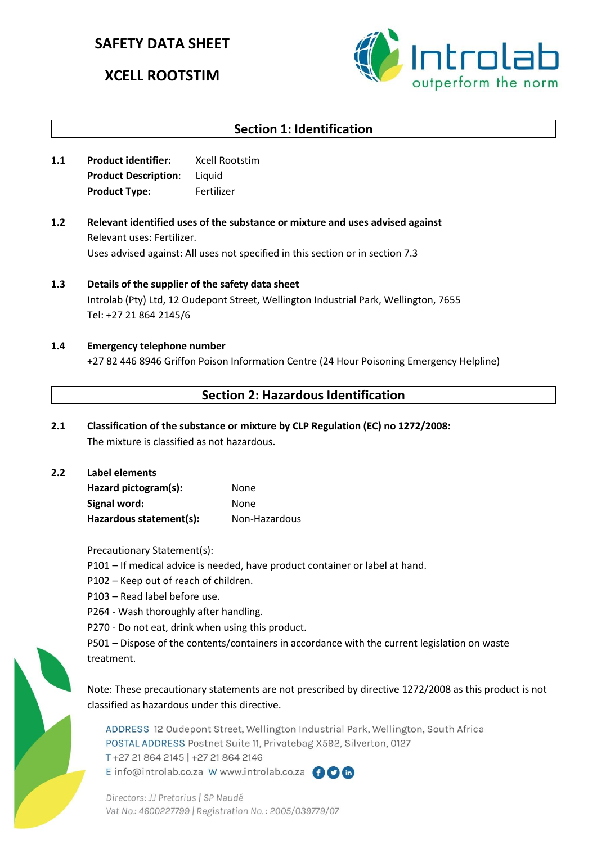# **SAFETY DATA SHEET**

# **XCELL ROOTSTIM**



# **Section 1: Identification**

- **1.1 Product identifier:** Xcell Rootstim **Product Description**: Liquid **Product Type:** Fertilizer
- **1.2 Relevant identified uses of the substance or mixture and uses advised against** Relevant uses: Fertilizer. Uses advised against: All uses not specified in this section or in section 7.3
- **1.3 Details of the supplier of the safety data sheet** Introlab (Pty) Ltd, 12 Oudepont Street, Wellington Industrial Park, Wellington, 7655 Tel: +27 21 864 2145/6
- **1.4 Emergency telephone number** +27 82 446 8946 Griffon Poison Information Centre (24 Hour Poisoning Emergency Helpline)

## **Section 2: Hazardous Identification**

- **2.1 Classification of the substance or mixture by CLP Regulation (EC) no 1272/2008:** The mixture is classified as not hazardous.
- **2.2 Label elements Hazard pictogram(s):** None Signal word: None Hazardous statement(s): Non-Hazardous

Precautionary Statement(s):

- P101 If medical advice is needed, have product container or label at hand.
- P102 Keep out of reach of children.
- P103 Read label before use.
- P264 Wash thoroughly after handling.
- P270 Do not eat, drink when using this product.

P501 – Dispose of the contents/containers in accordance with the current legislation on waste treatment.

Note: These precautionary statements are not prescribed by directive 1272/2008 as this product is not classified as hazardous under this directive.

ADDRESS 12 Oudepont Street, Wellington Industrial Park, Wellington, South Africa POSTAL ADDRESS Postnet Suite 11, Privatebag X592, Silverton, 0127 T+27 21 864 2145 | +27 21 864 2146 E info@introlab.co.za W www.introlab.co.za AOM

Directors: JJ Pretorius | SP Naudé Vat No.: 4600227799 | Registration No.: 2005/039779/07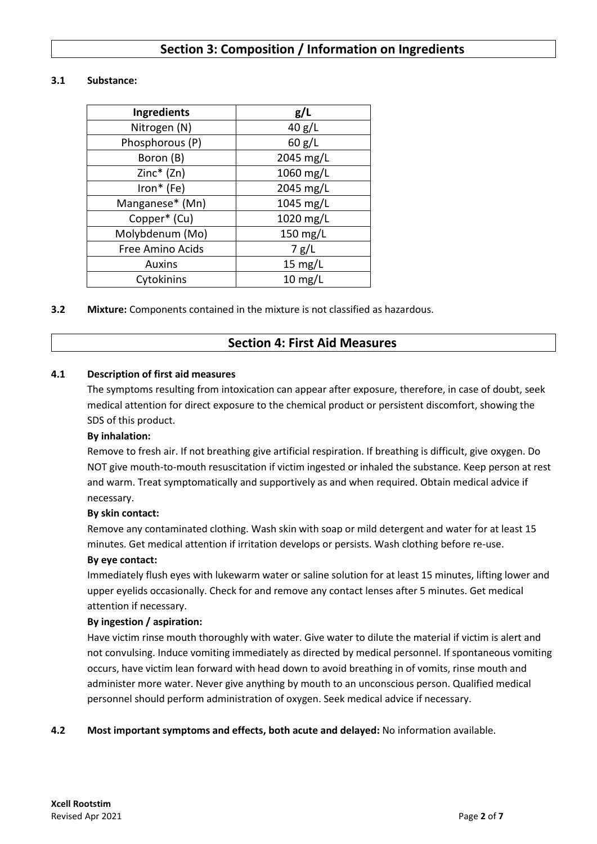## **Section 3: Composition / Information on Ingredients**

### **3.1 Substance:**

| Ingredients      | g/L               |  |  |
|------------------|-------------------|--|--|
| Nitrogen (N)     | 40 g/L            |  |  |
| Phosphorous (P)  | 60 g/L            |  |  |
| Boron (B)        | 2045 mg/L         |  |  |
| Zinc* (Zn)       | 1060 mg/L         |  |  |
| Iron* (Fe)       | 2045 mg/L         |  |  |
| Manganese* (Mn)  | 1045 mg/L         |  |  |
| Copper* (Cu)     | 1020 mg/L         |  |  |
| Molybdenum (Mo)  | 150 mg/L          |  |  |
| Free Amino Acids | 7 g/L             |  |  |
| <b>Auxins</b>    | 15 $mg/L$         |  |  |
| Cytokinins       | $10 \text{ mg/L}$ |  |  |

**3.2 Mixture:** Components contained in the mixture is not classified as hazardous.

### **Section 4: First Aid Measures**

### **4.1 Description of first aid measures**

The symptoms resulting from intoxication can appear after exposure, therefore, in case of doubt, seek medical attention for direct exposure to the chemical product or persistent discomfort, showing the SDS of this product.

### **By inhalation:**

Remove to fresh air. If not breathing give artificial respiration. If breathing is difficult, give oxygen. Do NOT give mouth-to-mouth resuscitation if victim ingested or inhaled the substance. Keep person at rest and warm. Treat symptomatically and supportively as and when required. Obtain medical advice if necessary.

#### **By skin contact:**

Remove any contaminated clothing. Wash skin with soap or mild detergent and water for at least 15 minutes. Get medical attention if irritation develops or persists. Wash clothing before re-use.

#### **By eye contact:**

Immediately flush eyes with lukewarm water or saline solution for at least 15 minutes, lifting lower and upper eyelids occasionally. Check for and remove any contact lenses after 5 minutes. Get medical attention if necessary.

#### **By ingestion / aspiration:**

Have victim rinse mouth thoroughly with water. Give water to dilute the material if victim is alert and not convulsing. Induce vomiting immediately as directed by medical personnel. If spontaneous vomiting occurs, have victim lean forward with head down to avoid breathing in of vomits, rinse mouth and administer more water. Never give anything by mouth to an unconscious person. Qualified medical personnel should perform administration of oxygen. Seek medical advice if necessary.

### **4.2 Most important symptoms and effects, both acute and delayed:** No information available.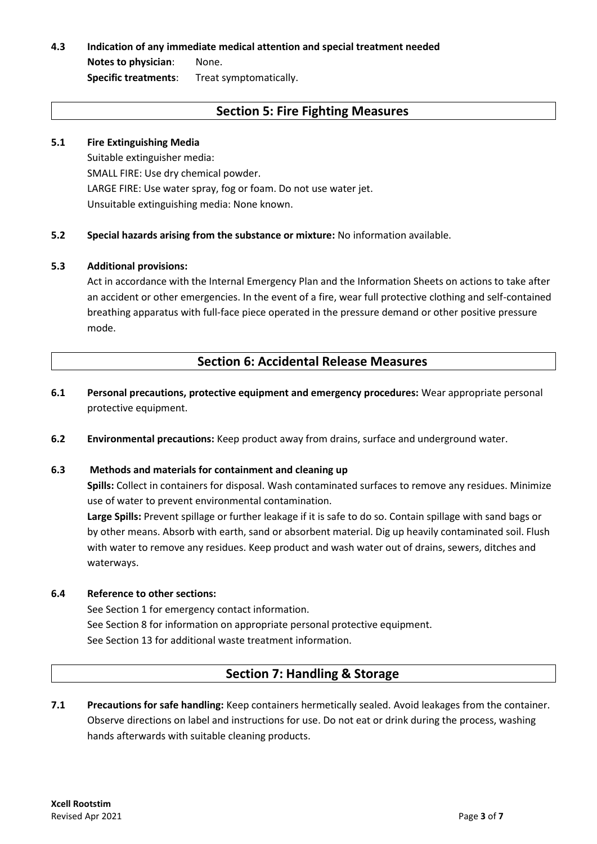# **4.3 Indication of any immediate medical attention and special treatment needed**

**Notes to physician**: None. **Specific treatments**: Treat symptomatically.

## **Section 5: Fire Fighting Measures**

### **5.1 Fire Extinguishing Media**

Suitable extinguisher media: SMALL FIRE: Use dry chemical powder. LARGE FIRE: Use water spray, fog or foam. Do not use water jet. Unsuitable extinguishing media: None known.

**5.2 Special hazards arising from the substance or mixture:** No information available.

### **5.3 Additional provisions:**

Act in accordance with the Internal Emergency Plan and the Information Sheets on actions to take after an accident or other emergencies. In the event of a fire, wear full protective clothing and self-contained breathing apparatus with full-face piece operated in the pressure demand or other positive pressure mode.

## **Section 6: Accidental Release Measures**

- **6.1 Personal precautions, protective equipment and emergency procedures:** Wear appropriate personal protective equipment.
- **6.2 Environmental precautions:** Keep product away from drains, surface and underground water.

### **6.3 Methods and materials for containment and cleaning up**

**Spills:** Collect in containers for disposal. Wash contaminated surfaces to remove any residues. Minimize use of water to prevent environmental contamination.

**Large Spills:** Prevent spillage or further leakage if it is safe to do so. Contain spillage with sand bags or by other means. Absorb with earth, sand or absorbent material. Dig up heavily contaminated soil. Flush with water to remove any residues. Keep product and wash water out of drains, sewers, ditches and waterways.

### **6.4 Reference to other sections:**

See Section 1 for emergency contact information. See Section 8 for information on appropriate personal protective equipment. See Section 13 for additional waste treatment information.

### **Section 7: Handling & Storage**

**7.1 Precautions for safe handling:** Keep containers hermetically sealed. Avoid leakages from the container. Observe directions on label and instructions for use. Do not eat or drink during the process, washing hands afterwards with suitable cleaning products.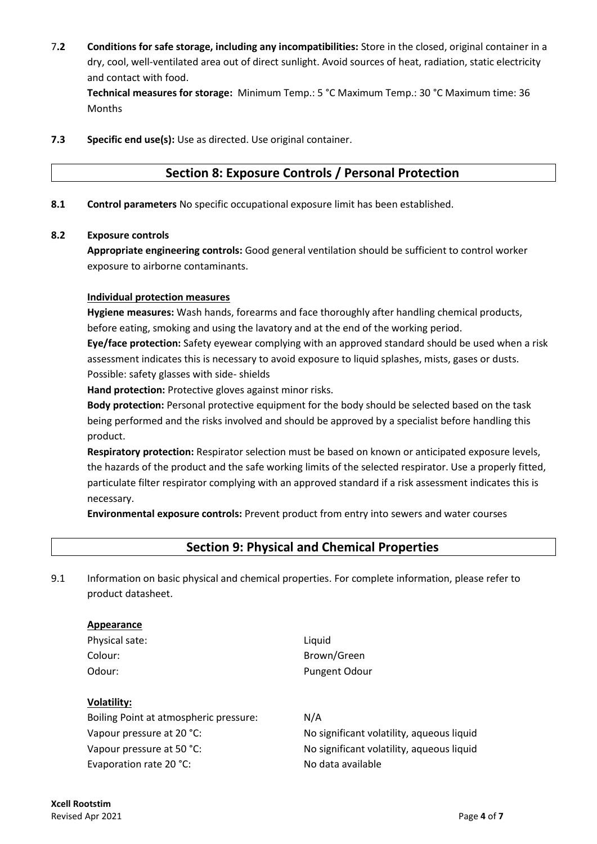7**.2 Conditions for safe storage, including any incompatibilities:** Store in the closed, original container in a dry, cool, well-ventilated area out of direct sunlight. Avoid sources of heat, radiation, static electricity and contact with food.

**Technical measures for storage:** Minimum Temp.: 5 °C Maximum Temp.: 30 °C Maximum time: 36 Months

**7.3 Specific end use(s):** Use as directed. Use original container.

### **Section 8: Exposure Controls / Personal Protection**

**8.1 Control parameters** No specific occupational exposure limit has been established.

### **8.2 Exposure controls**

**Appropriate engineering controls:** Good general ventilation should be sufficient to control worker exposure to airborne contaminants.

### **Individual protection measures**

**Hygiene measures:** Wash hands, forearms and face thoroughly after handling chemical products, before eating, smoking and using the lavatory and at the end of the working period.

**Eye/face protection:** Safety eyewear complying with an approved standard should be used when a risk assessment indicates this is necessary to avoid exposure to liquid splashes, mists, gases or dusts. Possible: safety glasses with side- shields

**Hand protection:** Protective gloves against minor risks.

**Body protection:** Personal protective equipment for the body should be selected based on the task being performed and the risks involved and should be approved by a specialist before handling this product.

**Respiratory protection:** Respirator selection must be based on known or anticipated exposure levels, the hazards of the product and the safe working limits of the selected respirator. Use a properly fitted, particulate filter respirator complying with an approved standard if a risk assessment indicates this is necessary.

**Environmental exposure controls:** Prevent product from entry into sewers and water courses

### **Section 9: Physical and Chemical Properties**

9.1 Information on basic physical and chemical properties. For complete information, please refer to product datasheet.

### **Appearance**

Physical sate: Liquid

**Volatility:**

# Colour: Brown/Green Odour: Pungent Odour

Boiling Point at atmospheric pressure: N/A Evaporation rate 20 °C: No data available

Vapour pressure at 20 °C: No significant volatility, aqueous liquid Vapour pressure at 50 °C: No significant volatility, aqueous liquid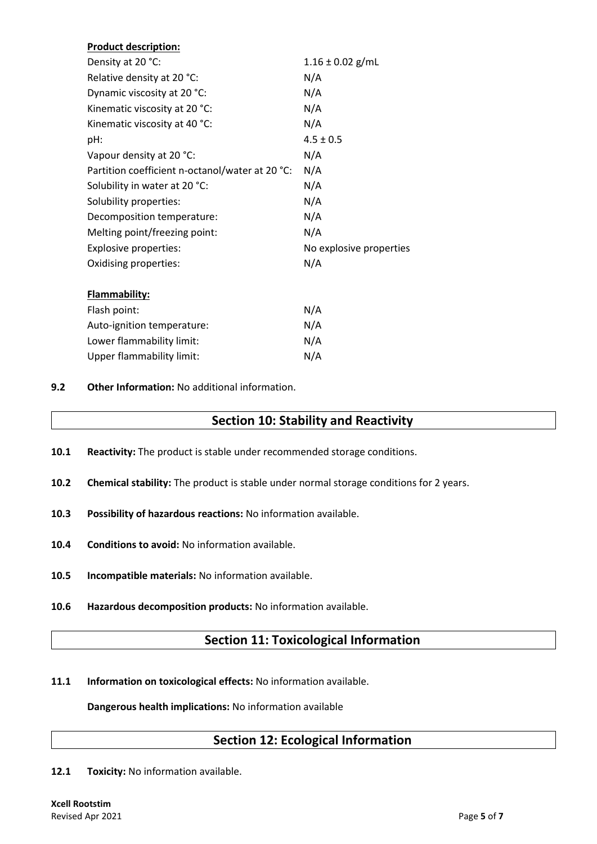| <b>Product description:</b>                     |                         |  |  |
|-------------------------------------------------|-------------------------|--|--|
| Density at 20 °C:                               | $1.16 \pm 0.02$ g/mL    |  |  |
| Relative density at 20 °C:                      | N/A                     |  |  |
| Dynamic viscosity at 20 °C:                     | N/A                     |  |  |
| Kinematic viscosity at 20 °C:                   | N/A                     |  |  |
| Kinematic viscosity at 40 °C:                   | N/A                     |  |  |
| pH:                                             | $4.5 \pm 0.5$           |  |  |
| Vapour density at 20 °C:                        | N/A                     |  |  |
| Partition coefficient n-octanol/water at 20 °C: | N/A                     |  |  |
| Solubility in water at 20 °C:                   | N/A                     |  |  |
| Solubility properties:                          | N/A                     |  |  |
| Decomposition temperature:                      | N/A                     |  |  |
| Melting point/freezing point:                   | N/A                     |  |  |
| <b>Explosive properties:</b>                    | No explosive properties |  |  |
| Oxidising properties:                           | N/A                     |  |  |
| <b>Flammability:</b>                            |                         |  |  |
| Flash point:                                    | N/A                     |  |  |
| Auto-ignition temperature:                      | N/A                     |  |  |
| Lower flammability limit:                       | N/A                     |  |  |
| <b>Upper flammability limit:</b>                | N/A                     |  |  |
|                                                 |                         |  |  |

**9.2 Other Information:** No additional information.

### **Section 10: Stability and Reactivity**

- **10.1 Reactivity:** The product is stable under recommended storage conditions.
- **10.2 Chemical stability:** The product is stable under normal storage conditions for 2 years.
- **10.3 Possibility of hazardous reactions:** No information available.
- **10.4 Conditions to avoid:** No information available.
- **10.5 Incompatible materials:** No information available.
- **10.6 Hazardous decomposition products:** No information available.

## **Section 11: Toxicological Information**

**11.1 Information on toxicological effects:** No information available.

**Dangerous health implications:** No information available

### **Section 12: Ecological Information**

12.1 Toxicity: No information available.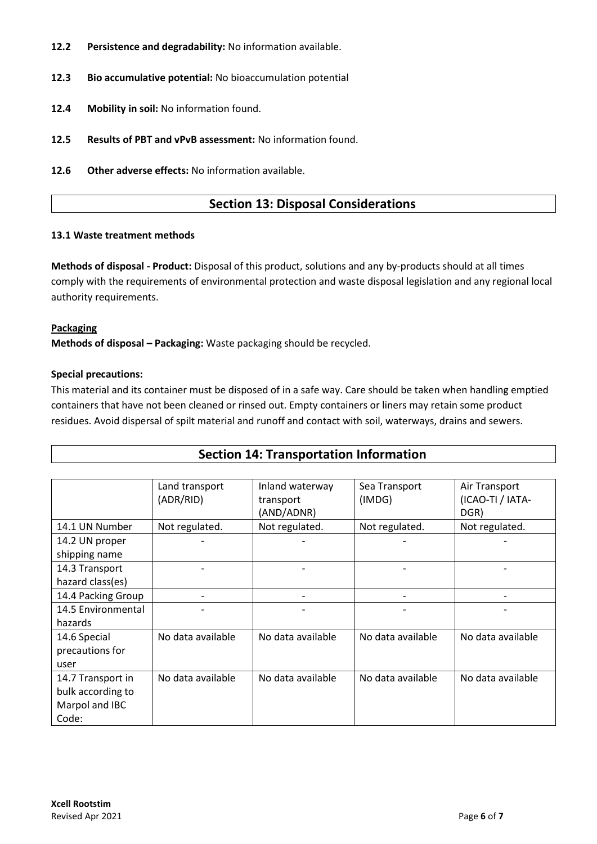- **12.2 Persistence and degradability:** No information available.
- **12.3 Bio accumulative potential:** No bioaccumulation potential
- **12.4 Mobility in soil:** No information found.
- **12.5 Results of PBT and vPvB assessment:** No information found.
- **12.6 Other adverse effects:** No information available.

### **Section 13: Disposal Considerations**

#### **13.1 Waste treatment methods**

**Methods of disposal - Product:** Disposal of this product, solutions and any by-products should at all times comply with the requirements of environmental protection and waste disposal legislation and any regional local authority requirements.

### **Packaging**

**Methods of disposal – Packaging:** Waste packaging should be recycled.

### **Special precautions:**

This material and its container must be disposed of in a safe way. Care should be taken when handling emptied containers that have not been cleaned or rinsed out. Empty containers or liners may retain some product residues. Avoid dispersal of spilt material and runoff and contact with soil, waterways, drains and sewers.

| <b>Section 14: Transportation Information</b> |                   |                   |                   |                   |  |  |
|-----------------------------------------------|-------------------|-------------------|-------------------|-------------------|--|--|
|                                               |                   |                   |                   |                   |  |  |
|                                               | Land transport    | Inland waterway   | Sea Transport     | Air Transport     |  |  |
|                                               | (ADR/RID)         | transport         | (IMDG)            | (ICAO-TI / IATA-  |  |  |
|                                               |                   | (AND/ADNR)        |                   | DGR)              |  |  |
| 14.1 UN Number                                | Not regulated.    | Not regulated.    | Not regulated.    | Not regulated.    |  |  |
| 14.2 UN proper                                |                   |                   |                   |                   |  |  |
| shipping name                                 |                   |                   |                   |                   |  |  |
| 14.3 Transport                                |                   |                   |                   |                   |  |  |
| hazard class(es)                              |                   |                   |                   |                   |  |  |
| 14.4 Packing Group                            |                   |                   |                   |                   |  |  |
| 14.5 Environmental                            |                   |                   |                   |                   |  |  |
| hazards                                       |                   |                   |                   |                   |  |  |
| 14.6 Special                                  | No data available | No data available | No data available | No data available |  |  |
| precautions for                               |                   |                   |                   |                   |  |  |
| user                                          |                   |                   |                   |                   |  |  |
| 14.7 Transport in                             | No data available | No data available | No data available | No data available |  |  |
| bulk according to                             |                   |                   |                   |                   |  |  |
| Marpol and IBC                                |                   |                   |                   |                   |  |  |
| Code:                                         |                   |                   |                   |                   |  |  |